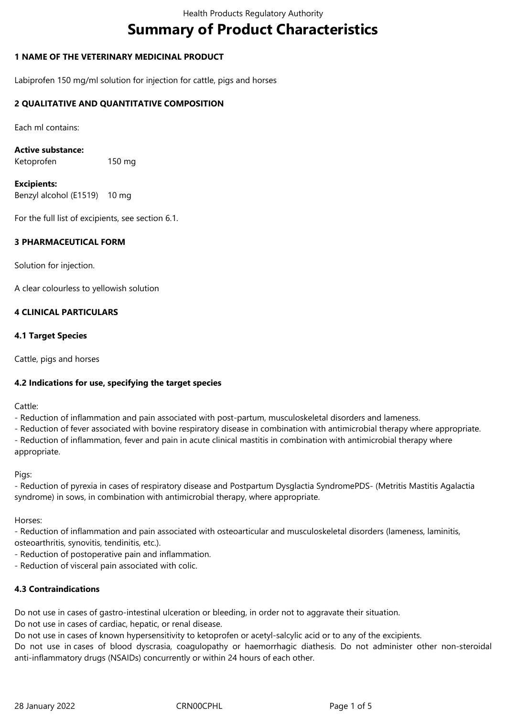# **Summary of Product Characteristics**

## **1 NAME OF THE VETERINARY MEDICINAL PRODUCT**

Labiprofen 150 mg/ml solution for injection for cattle, pigs and horses

#### **2 QUALITATIVE AND QUANTITATIVE COMPOSITION**

Each ml contains:

**Active substance:**

Ketoprofen 150 mg

**Excipients:** Benzyl alcohol (E1519) 10 mg

For the full list of excipients, see section 6.1.

#### **3 PHARMACEUTICAL FORM**

Solution for injection.

A clear colourless to yellowish solution

#### **4 CLINICAL PARTICULARS**

#### **4.1 Target Species**

Cattle, pigs and horses

## **4.2 Indications for use, specifying the target species**

Cattle:

- Reduction of inflammation and pain associated with post-partum, musculoskeletal disorders and lameness.

- Reduction of fever associated with bovine respiratory disease in combination with antimicrobial therapy where appropriate. - Reduction of inflammation, fever and pain in acute clinical mastitis in combination with antimicrobial therapy where appropriate.

Pigs:

- Reduction of pyrexia in cases of respiratory disease and Postpartum Dysglactia SyndromePDS- (Metritis Mastitis Agalactia syndrome) in sows, in combination with antimicrobial therapy, where appropriate.

Horses:

- Reduction of inflammation and pain associated with osteoarticular and musculoskeletal disorders (lameness, laminitis, osteoarthritis, synovitis, tendinitis, etc.).

- Reduction of postoperative pain and inflammation.

- Reduction of visceral pain associated with colic.

## **4.3 Contraindications**

Do not use in cases of gastro-intestinal ulceration or bleeding, in order not to aggravate their situation. Do not use in cases of cardiac, hepatic, or renal disease.

Do not use in cases of known hypersensitivity to ketoprofen or acetyl-salcylic acid or to any of the excipients.

Do not use in cases of blood dyscrasia, coagulopathy or haemorrhagic diathesis. Do not administer other non-steroidal anti-inflammatory drugs (NSAIDs) concurrently or within 24 hours of each other.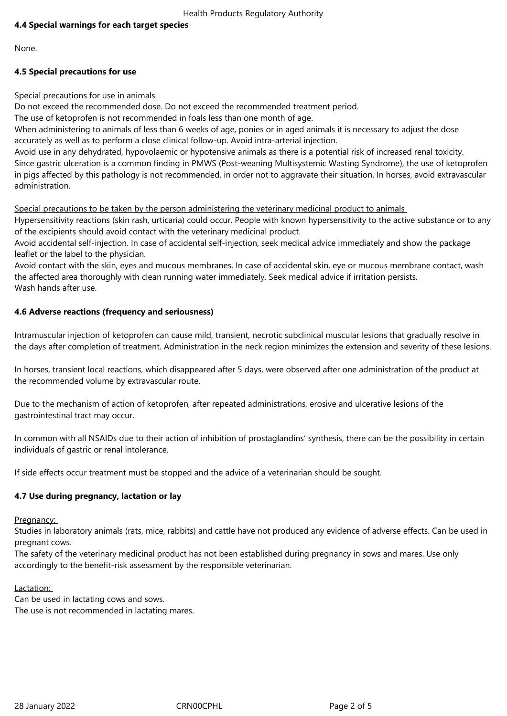# **4.4 Special warnings for each target species**

None.

## **4.5 Special precautions for use**

Special precautions for use in animals

Do not exceed the recommended dose. Do not exceed the recommended treatment period.

The use of ketoprofen is not recommended in foals less than one month of age.

When administering to animals of less than 6 weeks of age, ponies or in aged animals it is necessary to adjust the dose accurately as well as to perform a close clinical follow-up. Avoid intra-arterial injection.

Avoid use in any dehydrated, hypovolaemic or hypotensive animals as there is a potential risk of increased renal toxicity. Since gastric ulceration is a common finding in PMWS (Post-weaning Multisystemic Wasting Syndrome), the use of ketoprofen in pigs affected by this pathology is not recommended, in order not to aggravate their situation. In horses, avoid extravascular administration.

Special precautions to be taken by the person administering the veterinary medicinal product to animals

Hypersensitivity reactions (skin rash, urticaria) could occur. People with known hypersensitivity to the active substance or to any of the excipients should avoid contact with the veterinary medicinal product.

Avoid accidental self-injection. In case of accidental self-injection, seek medical advice immediately and show the package leaflet or the label to the physician.

Avoid contact with the skin, eyes and mucous membranes. In case of accidental skin, eye or mucous membrane contact, wash the affected area thoroughly with clean running water immediately. Seek medical advice if irritation persists. Wash hands after use.

## **4.6 Adverse reactions (frequency and seriousness)**

Intramuscular injection of ketoprofen can cause mild, transient, necrotic subclinical muscular lesions that gradually resolve in the days after completion of treatment. Administration in the neck region minimizes the extension and severity of these lesions.

In horses, transient local reactions, which disappeared after 5 days, were observed after one administration of the product at the recommended volume by extravascular route.

Due to the mechanism of action of ketoprofen, after repeated administrations, erosive and ulcerative lesions of the gastrointestinal tract may occur.

In common with all NSAIDs due to their action of inhibition of prostaglandins' synthesis, there can be the possibility in certain individuals of gastric or renal intolerance.

If side effects occur treatment must be stopped and the advice of a veterinarian should be sought.

## **4.7 Use during pregnancy, lactation or lay**

Pregnancy:

Studies in laboratory animals (rats, mice, rabbits) and cattle have not produced any evidence of adverse effects. Can be used in pregnant cows.

The safety of the veterinary medicinal product has not been established during pregnancy in sows and mares. Use only accordingly to the benefit-risk assessment by the responsible veterinarian.

#### Lactation:

Can be used in lactating cows and sows. The use is not recommended in lactating mares.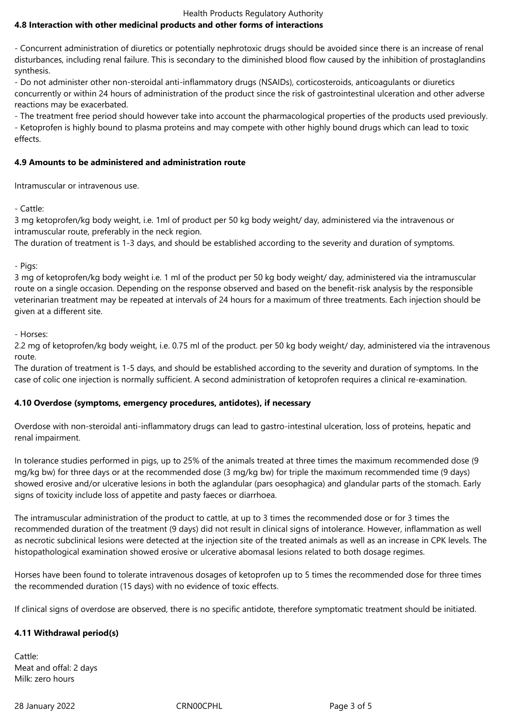#### Health Products Regulatory Authority

# **4.8 Interaction with other medicinal products and other forms of interactions**

- Concurrent administration of diuretics or potentially nephrotoxic drugs should be avoided since there is an increase of renal disturbances, including renal failure. This is secondary to the diminished blood flow caused by the inhibition of prostaglandins synthesis.

- Do not administer other non-steroidal anti-inflammatory drugs (NSAIDs), corticosteroids, anticoagulants or diuretics concurrently or within 24 hours of administration of the product since the risk of gastrointestinal ulceration and other adverse reactions may be exacerbated.

- The treatment free period should however take into account the pharmacological properties of the products used previously. - Ketoprofen is highly bound to plasma proteins and may compete with other highly bound drugs which can lead to toxic effects.

#### **4.9 Amounts to be administered and administration route**

Intramuscular or intravenous use.

- Cattle:

3 mg ketoprofen/kg body weight, i.e. 1ml of product per 50 kg body weight/ day, administered via the intravenous or intramuscular route, preferably in the neck region.

The duration of treatment is 1-3 days, and should be established according to the severity and duration of symptoms.

- Pigs:

3 mg of ketoprofen/kg body weight i.e. 1 ml of the product per 50 kg body weight/ day, administered via the intramuscular route on a single occasion. Depending on the response observed and based on the benefit-risk analysis by the responsible veterinarian treatment may be repeated at intervals of 24 hours for a maximum of three treatments. Each injection should be given at a different site.

- Horses:

2.2 mg of ketoprofen/kg body weight, i.e. 0.75 ml of the product. per 50 kg body weight/ day, administered via the intravenous route.

The duration of treatment is 1-5 days, and should be established according to the severity and duration of symptoms. In the case of colic one injection is normally sufficient. A second administration of ketoprofen requires a clinical re-examination.

## **4.10 Overdose (symptoms, emergency procedures, antidotes), if necessary**

Overdose with non-steroidal anti-inflammatory drugs can lead to gastro-intestinal ulceration, loss of proteins, hepatic and renal impairment.

In tolerance studies performed in pigs, up to 25% of the animals treated at three times the maximum recommended dose (9 mg/kg bw) for three days or at the recommended dose (3 mg/kg bw) for triple the maximum recommended time (9 days) showed erosive and/or ulcerative lesions in both the aglandular (pars oesophagica) and glandular parts of the stomach. Early signs of toxicity include loss of appetite and pasty faeces or diarrhoea.

The intramuscular administration of the product to cattle, at up to 3 times the recommended dose or for 3 times the recommended duration of the treatment (9 days) did not result in clinical signs of intolerance. However, inflammation as well as necrotic subclinical lesions were detected at the injection site of the treated animals as well as an increase in CPK levels. The histopathological examination showed erosive or ulcerative abomasal lesions related to both dosage regimes.

Horses have been found to tolerate intravenous dosages of ketoprofen up to 5 times the recommended dose for three times the recommended duration (15 days) with no evidence of toxic effects.

If clinical signs of overdose are observed, there is no specific antidote, therefore symptomatic treatment should be initiated.

## **4.11 Withdrawal period(s)**

Cattle: Meat and offal: 2 days Milk: zero hours

28 January 2022 CRN00CPHL Page 3 of 5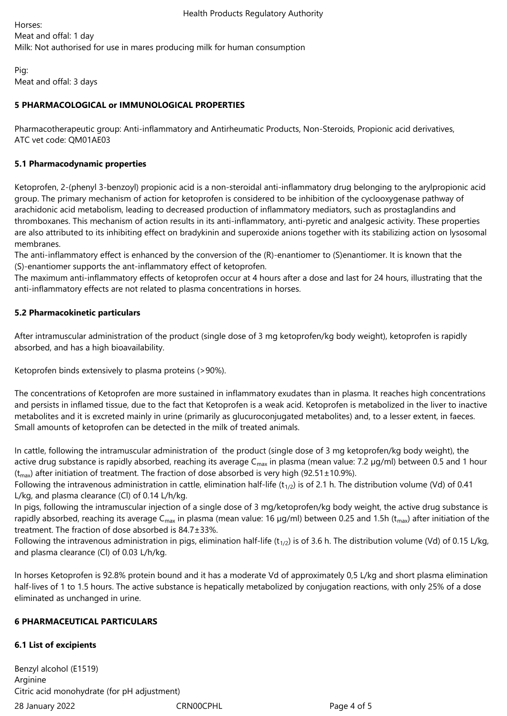Horses: Meat and offal: 1 day Milk: Not authorised for use in mares producing milk for human consumption

Pig: Meat and offal: 3 days

# **5 PHARMACOLOGICAL or IMMUNOLOGICAL PROPERTIES**

Pharmacotherapeutic group: Anti-inflammatory and Antirheumatic Products, Non-Steroids, Propionic acid derivatives, ATC vet code: QM01AE03

## **5.1 Pharmacodynamic properties**

Ketoprofen, 2-(phenyl 3-benzoyl) propionic acid is a non-steroidal anti-inflammatory drug belonging to the arylpropionic acid group. The primary mechanism of action for ketoprofen is considered to be inhibition of the cyclooxygenase pathway of arachidonic acid metabolism, leading to decreased production of inflammatory mediators, such as prostaglandins and thromboxanes. This mechanism of action results in its anti-inflammatory, anti-pyretic and analgesic activity. These properties are also attributed to its inhibiting effect on bradykinin and superoxide anions together with its stabilizing action on lysosomal membranes.

The anti-inflammatory effect is enhanced by the conversion of the (R)-enantiomer to (S)enantiomer. It is known that the (S)-enantiomer supports the ant-inflammatory effect of ketoprofen.

The maximum anti-inflammatory effects of ketoprofen occur at 4 hours after a dose and last for 24 hours, illustrating that the anti-inflammatory effects are not related to plasma concentrations in horses.

# **5.2 Pharmacokinetic particulars**

After intramuscular administration of the product (single dose of 3 mg ketoprofen/kg body weight), ketoprofen is rapidly absorbed, and has a high bioavailability.

Ketoprofen binds extensively to plasma proteins (>90%).

The concentrations of Ketoprofen are more sustained in inflammatory exudates than in plasma. It reaches high concentrations and persists in inflamed tissue, due to the fact that Ketoprofen is a weak acid. Ketoprofen is metabolized in the liver to inactive metabolites and it is excreted mainly in urine (primarily as glucuroconjugated metabolites) and, to a lesser extent, in faeces. Small amounts of ketoprofen can be detected in the milk of treated animals.

In cattle, following the intramuscular administration of the product (single dose of 3 mg ketoprofen/kg body weight), the active drug substance is rapidly absorbed, reaching its average  $C_{\text{max}}$  in plasma (mean value: 7.2 µg/ml) between 0.5 and 1 hour  $(t<sub>max</sub>)$  after initiation of treatment. The fraction of dose absorbed is very high (92.51 $\pm$ 10.9%).

Following the intravenous administration in cattle, elimination half-life (t<sub>1/2</sub>) is of 2.1 h. The distribution volume (Vd) of 0.41 L/kg, and plasma clearance (Cl) of 0.14 L/h/kg.

In pigs, following the intramuscular injection of a single dose of 3 mg/ketoprofen/kg body weight, the active drug substance is rapidly absorbed, reaching its average C<sub>max</sub> in plasma (mean value: 16 µg/ml) between 0.25 and 1.5h (t<sub>max</sub>) after initiation of the treatment. The fraction of dose absorbed is 84.7±33%.

Following the intravenous administration in pigs, elimination half-life ( $t_{1/2}$ ) is of 3.6 h. The distribution volume (Vd) of 0.15 L/kg, and plasma clearance (Cl) of 0.03 L/h/kg.

In horses Ketoprofen is 92.8% protein bound and it has a moderate Vd of approximately 0,5 L/kg and short plasma elimination half-lives of 1 to 1.5 hours. The active substance is hepatically metabolized by conjugation reactions, with only 25% of a dose eliminated as unchanged in urine.

## **6 PHARMACEUTICAL PARTICULARS**

# **6.1 List of excipients**

28 January 2022 CRN00CPHL Page 4 of 5 Benzyl alcohol (E1519) **Arginine** Citric acid monohydrate (for pH adjustment)